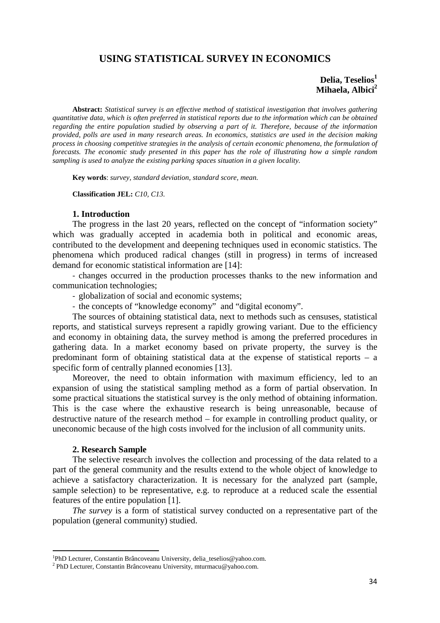# **USING STATISTICAL SURVEY IN ECONOMICS**

## **Delia, Teselios<sup>1</sup> Mihaela, Albici<sup>2</sup>**

**Abstract:** *Statistical survey is an effective method of statistical investigation that involves gathering quantitative data, which is often preferred in statistical reports due to the information which can be obtained regarding the entire population studied by observing a part of it. Therefore, because of the information provided, polls are used in many research areas. In economics, statistics are used in the decision making process in choosing competitive strategies in the analysis of certain economic phenomena, the formulation of forecasts. The economic study presented in this paper has the role of illustrating how a simple random sampling is used to analyze the existing parking spaces situation in a given locality.*

**Key words**: *survey, standard deviation, standard score, mean.*

**Classification JEL:** *C10, C13.*

### **1. Introduction**

The progress in the last 20 years, reflected on the concept of "information society" which was gradually accepted in academia both in political and economic areas, contributed to the development and deepening techniques used in economic statistics. The phenomena which produced radical changes (still in progress) in terms of increased demand for economic statistical information are [14]:

- changes occurred in the production processes thanks to the new information and communication technologies;

- globalization of social and economic systems;

- the concepts of "knowledge economy" and "digital economy".

The sources of obtaining statistical data, next to methods such as censuses, statistical reports, and statistical surveys represent a rapidly growing variant. Due to the efficiency and economy in obtaining data, the survey method is among the preferred procedures in gathering data. In a market economy based on private property, the survey is the predominant form of obtaining statistical data at the expense of statistical reports – a specific form of centrally planned economies [13].

Moreover, the need to obtain information with maximum efficiency, led to an expansion of using the statistical sampling method as a form of partial observation. In some practical situations the statistical survey is the only method of obtaining information. This is the case where the exhaustive research is being unreasonable, because of destructive nature of the research method – for example in controlling product quality, or uneconomic because of the high costs involved for the inclusion of all community units.

## **2. Research Sample**

The selective research involves the collection and processing of the data related to a part of the general community and the results extend to the whole object of knowledge to achieve a satisfactory characterization. It is necessary for the analyzed part (sample, sample selection) to be representative, e.g. to reproduce at a reduced scale the essential features of the entire population [1].

*The survey* is a form of statistical survey conducted on a representative part of the population (general community) studied.

<sup>&</sup>lt;sup>1</sup>PhD Lecturer, Constantin Brâncoveanu University, delia\_teselios@yahoo.com.

<sup>2</sup> PhD Lecturer, Constantin Brâncoveanu University, mturmacu@yahoo.com.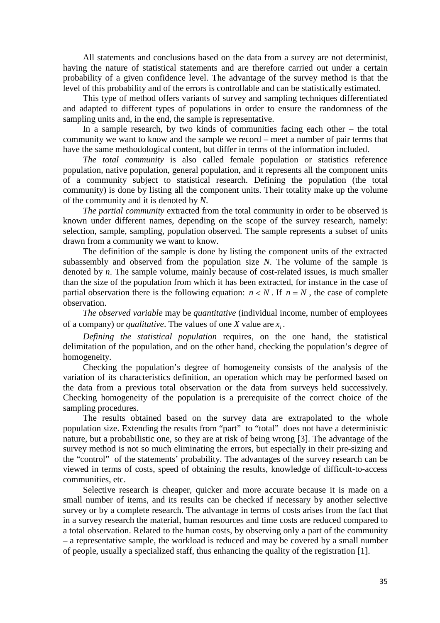All statements and conclusions based on the data from a survey are not determinist, having the nature of statistical statements and are therefore carried out under a certain probability of a given confidence level. The advantage of the survey method is that the level of this probability and of the errors is controllable and can be statistically estimated.

This type of method offers variants of survey and sampling techniques differentiated and adapted to different types of populations in order to ensure the randomness of the sampling units and, in the end, the sample is representative.

In a sample research, by two kinds of communities facing each other – the total community we want to know and the sample we record – meet a number of pair terms that have the same methodological content, but differ in terms of the information included.

*The total community* is also called female population or statistics reference population, native population, general population, and it represents all the component units of a community subject to statistical research. Defining the population (the total community) is done by listing all the component units. Their totality make up the volume of the community and it is denoted by *N*.

*The partial community* extracted from the total community in order to be observed is known under different names, depending on the scope of the survey research, namely: selection, sample, sampling, population observed. The sample represents a subset of units drawn from a community we want to know.

The definition of the sample is done by listing the component units of the extracted subassembly and observed from the population size *N*. The volume of the sample is denoted by *n*. The sample volume, mainly because of cost-related issues, is much smaller than the size of the population from which it has been extracted, for instance in the case of partial observation there is the following equation:  $n < N$ . If  $n = N$ , the case of complete observation.

*The observed variable* may be *quantitative* (individual income, number of employees of a company) or *qualitative*. The values of one *X* value are  $x_i$ .

*Defining the statistical population* requires, on the one hand, the statistical delimitation of the population, and on the other hand, checking the population's degree of homogeneity.

Checking the population's degree of homogeneity consists of the analysis of the variation of its characteristics definition, an operation which may be performed based on the data from a previous total observation or the data from surveys held successively. Checking homogeneity of the population is a prerequisite of the correct choice of the sampling procedures.

The results obtained based on the survey data are extrapolated to the whole population size. Extending the results from "part" to "total" does not have a deterministic nature, but a probabilistic one, so they are at risk of being wrong [3]. The advantage of the survey method is not so much eliminating the errors, but especially in their pre-sizing and the "control" of the statements' probability. The advantages of the survey research can be viewed in terms of costs, speed of obtaining the results, knowledge of difficult-to-access communities, etc.

Selective research is cheaper, quicker and more accurate because it is made on a small number of items, and its results can be checked if necessary by another selective survey or by a complete research. The advantage in terms of costs arises from the fact that in a survey research the material, human resources and time costs are reduced compared to a total observation. Related to the human costs, by observing only a part of the community – a representative sample, the workload is reduced and may be covered by a small number of people, usually a specialized staff, thus enhancing the quality of the registration [1].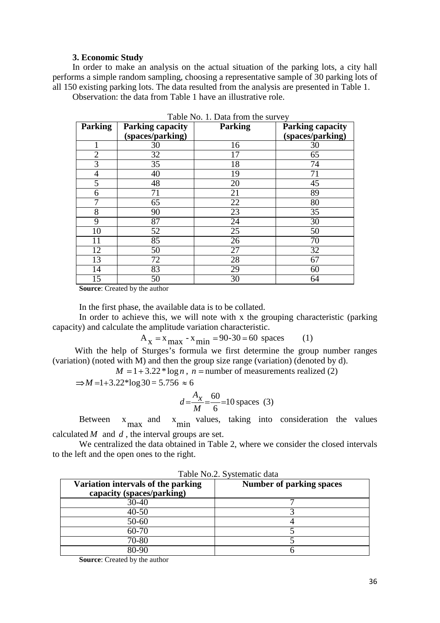## **3. Economic Study**

In order to make an analysis on the actual situation of the parking lots, a city hall performs a simple random sampling, choosing a representative sample of 30 parking lots of all 150 existing parking lots. The data resulted from the analysis are presented in Table 1.

Observation: the data from Table 1 have an illustrative role.

| <b>Parking</b> | <b>Parking capacity</b> | <b>Parking</b>  | <b>Parking capacity</b> |
|----------------|-------------------------|-----------------|-------------------------|
|                | (spaces/parking)        |                 | (spaces/parking)        |
|                | 30                      | 16              | 30                      |
| $\overline{2}$ | 32                      | 17              | 65                      |
| 3              | 35                      | 18              | 74                      |
| 4              | 40                      | 19              | 71                      |
| 5              | 48                      | 20              | 45                      |
| 6              | 71                      | 21              | 89                      |
| 7              | 65                      | 22              | 80                      |
| $\overline{8}$ | 90                      | $\overline{23}$ | $\overline{35}$         |
| 9              | 87                      | 24              | 30                      |
| 10             | 52                      | 25              | 50                      |
| 11             | 85                      | 26              | 70                      |
| 12             | 50                      | 27              | $\overline{32}$         |
| 13             | 72                      | 28              | 67                      |
| 14             | 83                      | 29              | 60                      |
| 15             | 50                      | 30              | 64                      |

Table No. 1. Data from the survey

**Source**: Created by the author

In the first phase, the available data is to be collated.

In order to achieve this, we will note with x the grouping characteristic (parking capacity) and calculate the amplitude variation characteristic.

 $A_x = x_{max} - x_{min} = 90-30 = 60$  spaces (1)

With the help of Sturges's formula we first determine the group number ranges (variation) (noted with M) and then the group size range (variation) (denoted by d).

 $M = 1 + 3.22 * log n$ ,  $n = number of measurements realized (2)$ 

 $\Rightarrow$ *M* = 1+3.22\*log 30 = 5.756  $\approx$  6

$$
d = \frac{A_x}{M} = \frac{60}{6} = 10 \text{ spaces } (3)
$$

Between  $x_{\text{max}}$  and  $x_{\text{min}}$  values, taking into consideration the values calculated *M* and *d* , the interval groups are set.

We centralized the data obtained in Table 2, where we consider the closed intervals to the left and the open ones to the right.

| Table Two.2. Dysichatic data       |                                 |  |  |  |  |
|------------------------------------|---------------------------------|--|--|--|--|
| Variation intervals of the parking | <b>Number of parking spaces</b> |  |  |  |  |
| capacity (spaces/parking)          |                                 |  |  |  |  |
| $30 - 40$                          |                                 |  |  |  |  |
| $40 - 50$                          |                                 |  |  |  |  |
| 50-60                              |                                 |  |  |  |  |
| $60 - 70$                          |                                 |  |  |  |  |
| 70-80                              |                                 |  |  |  |  |
| 80-90                              |                                 |  |  |  |  |

Table No.2. Systematic data

**Source**: Created by the author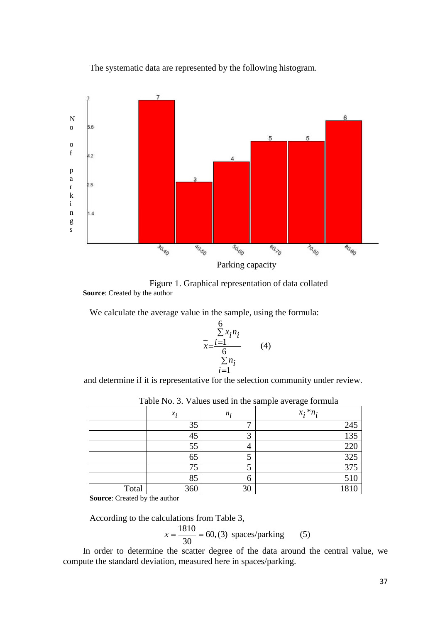

The systematic data are represented by the following histogram.



We calculate the average value in the sample, using the formula:

$$
\frac{6}{x} = \frac{\sum x_i n_i}{6}
$$
\n
$$
\sum n_i
$$
\n
$$
i = 1
$$
\n(4)

and determine if it is representative for the selection community under review.

|       |       |       | $\mathbf{r}$<br>ັ |
|-------|-------|-------|-------------------|
|       | $x_i$ | $n_i$ | $x_i * n_i$       |
|       | 35    | −     | 245               |
|       | 45    | ⌒     | 135               |
|       | 55    |       | 220               |
|       | 65    |       | 325               |
|       | 75    |       | 375               |
|       | 85    | h     | 510               |
| Total | 360   | 30    | 1810              |

|  |  |  |  |  |  | Table No. 3. Values used in the sample average formula |  |  |
|--|--|--|--|--|--|--------------------------------------------------------|--|--|
|--|--|--|--|--|--|--------------------------------------------------------|--|--|

**Source**: Created by the author

According to the calculations from Table 3,

$$
\overline{x} = \frac{1810}{30} = 60, (3)
$$
 spaces/parking (5)

In order to determine the scatter degree of the data around the central value, we compute the standard deviation, measured here in spaces/parking.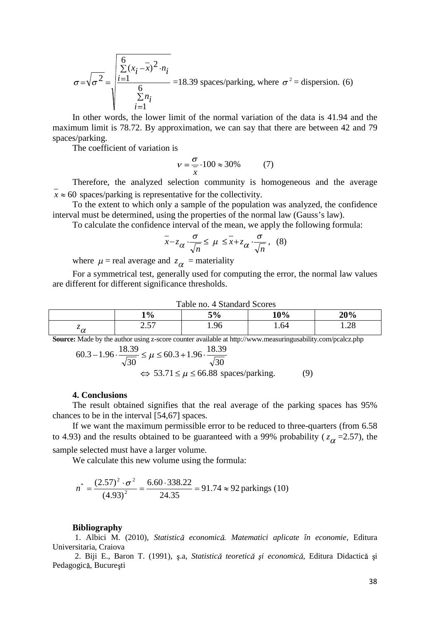$$
\sigma = \sqrt{\sigma^2} = \sqrt{\frac{\sum_{i=1}^{6} (x_i - \bar{x})^2 \cdot n_i}{\sum_{i=1}^{6} n_i}} = 18.39 \text{ spaces/parking, where } \sigma^2 = \text{dispersion. (6)}
$$

In other words, the lower limit of the normal variation of the data is 41.94 and the maximum limit is 78.72. By approximation, we can say that there are between 42 and 79 spaces/parking.

The coefficient of variation is

$$
v = \frac{\sigma}{x} \cdot 100 \approx 30\% \tag{7}
$$

Therefore, the analyzed selection community is homogeneous and the average  $x \approx 60$  spaces/parking is representative for the collectivity.

To the extent to which only a sample of the population was analyzed, the confidence interval must be determined, using the properties of the normal law (Gauss's law).

To calculate the confidence interval of the mean, we apply the following formula:

$$
\bar{x} - z_{\alpha} \cdot \frac{\sigma}{\sqrt{n}} \le \mu \le \bar{x} + z_{\alpha} \cdot \frac{\sigma}{\sqrt{n}}, \quad (8)
$$

where  $\mu$  = real average and  $z_{\alpha}$  = materiality

For a symmetrical test, generally used for computing the error, the normal law values are different for different significance thresholds.

| Table no. 4 Standard Scores |             |      |         |           |  |  |
|-----------------------------|-------------|------|---------|-----------|--|--|
|                             | 1%          | 5%   | 10%     | 20%       |  |  |
| ∾α<br>u                     | ר בר<br>. ب | 1.96 | ـ 64. ، | ാ<br>1.∠0 |  |  |

**Source:** Made by the author using z-score counter available at http://www.measuringusability.com/pcalcz.php

$$
60.3 - 1.96 \cdot \frac{18.39}{\sqrt{30}} \le \mu \le 60.3 + 1.96 \cdot \frac{18.39}{\sqrt{30}}
$$
  

$$
\Leftrightarrow 53.71 \le \mu \le 66.88 \text{ spaces/parking.}
$$
 (9)

#### **4. Conclusions**

The result obtained signifies that the real average of the parking spaces has 95% chances to be in the interval [54,67] spaces.

If we want the maximum permissible error to be reduced to three-quarters (from 6.58 to 4.93) and the results obtained to be guaranteed with a 99% probability ( $z_{\alpha}$  =2.57), the sample selected must have a larger volume.

We calculate this new volume using the formula:

$$
n^* = \frac{(2.57)^2 \cdot \sigma^2}{(4.93)^2} = \frac{6.60 \cdot 338.22}{24.35} = 91.74 \approx 92 \text{ parkings (10)}
$$

#### **Bibliography**

1. Albici M. (2010), *Statistic economic . Matematici aplicate în economie*, Editura Universitaria, Craiova

2. Biji E., Baron T. (1991), s.a. *Statistică teoretică și economică*, Editura Didactică și Pedagogică, București